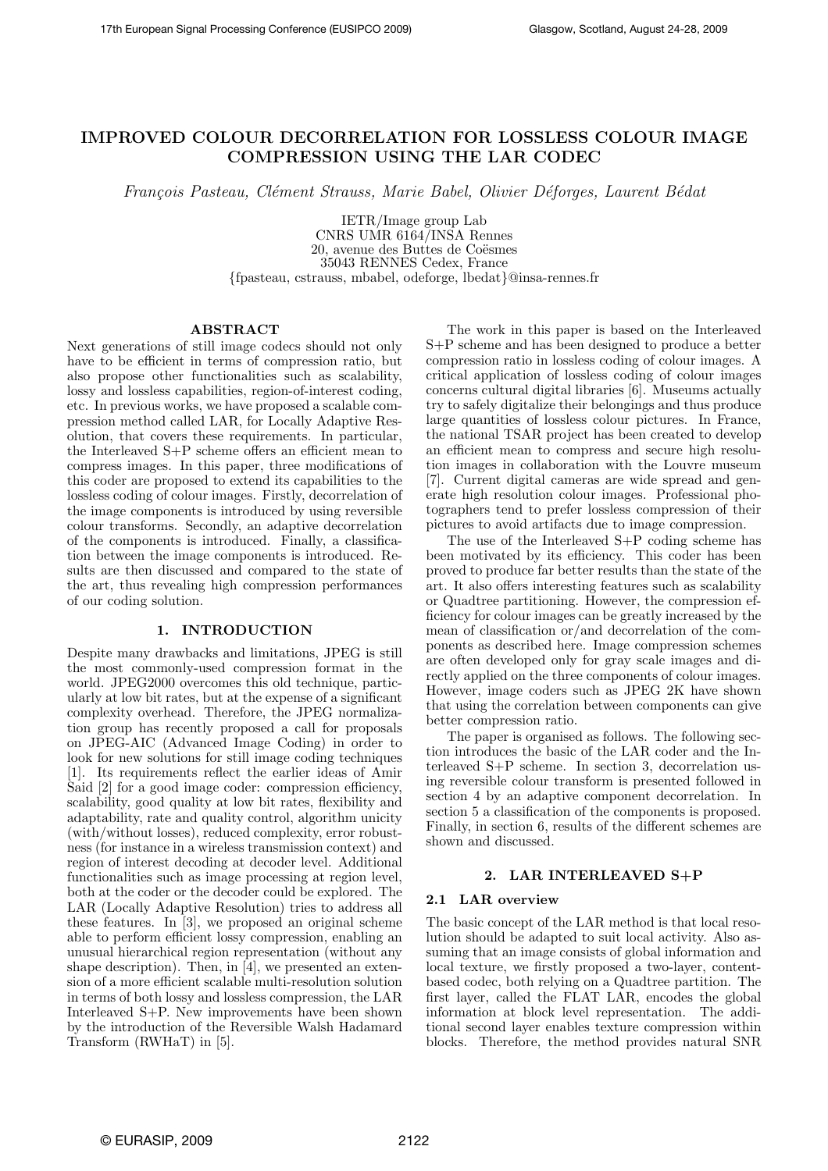# IMPROVED COLOUR DECORRELATION FOR LOSSLESS COLOUR IMAGE COMPRESSION USING THE LAR CODEC

François Pasteau, Clément Strauss, Marie Babel, Olivier Déforges, Laurent Bédat

IETR/Image group Lab CNRS UMR 6164/INSA Rennes 20, avenue des Buttes de Coësmes 35043 RENNES Cedex, France {fpasteau, cstrauss, mbabel, odeforge, lbedat}@insa-rennes.fr

# ABSTRACT

Next generations of still image codecs should not only have to be efficient in terms of compression ratio, but also propose other functionalities such as scalability, lossy and lossless capabilities, region-of-interest coding, etc. In previous works, we have proposed a scalable compression method called LAR, for Locally Adaptive Resolution, that covers these requirements. In particular, the Interleaved S+P scheme offers an efficient mean to compress images. In this paper, three modifications of this coder are proposed to extend its capabilities to the lossless coding of colour images. Firstly, decorrelation of the image components is introduced by using reversible colour transforms. Secondly, an adaptive decorrelation of the components is introduced. Finally, a classification between the image components is introduced. Results are then discussed and compared to the state of the art, thus revealing high compression performances of our coding solution.

# 1. INTRODUCTION

Despite many drawbacks and limitations, JPEG is still the most commonly-used compression format in the world. JPEG2000 overcomes this old technique, particularly at low bit rates, but at the expense of a significant complexity overhead. Therefore, the JPEG normalization group has recently proposed a call for proposals on JPEG-AIC (Advanced Image Coding) in order to look for new solutions for still image coding techniques [1]. Its requirements reflect the earlier ideas of Amir Said [2] for a good image coder: compression efficiency, scalability, good quality at low bit rates, flexibility and adaptability, rate and quality control, algorithm unicity (with/without losses), reduced complexity, error robustness (for instance in a wireless transmission context) and region of interest decoding at decoder level. Additional functionalities such as image processing at region level, both at the coder or the decoder could be explored. The LAR (Locally Adaptive Resolution) tries to address all these features. In [3], we proposed an original scheme able to perform efficient lossy compression, enabling an unusual hierarchical region representation (without any shape description). Then, in [4], we presented an extension of a more efficient scalable multi-resolution solution in terms of both lossy and lossless compression, the LAR Interleaved S+P. New improvements have been shown by the introduction of the Reversible Walsh Hadamard Transform (RWHaT) in [5].

The work in this paper is based on the Interleaved S+P scheme and has been designed to produce a better compression ratio in lossless coding of colour images. A critical application of lossless coding of colour images concerns cultural digital libraries [6]. Museums actually try to safely digitalize their belongings and thus produce large quantities of lossless colour pictures. In France, the national TSAR project has been created to develop an efficient mean to compress and secure high resolution images in collaboration with the Louvre museum [7]. Current digital cameras are wide spread and generate high resolution colour images. Professional photographers tend to prefer lossless compression of their pictures to avoid artifacts due to image compression.

The use of the Interleaved S+P coding scheme has been motivated by its efficiency. This coder has been proved to produce far better results than the state of the art. It also offers interesting features such as scalability or Quadtree partitioning. However, the compression efficiency for colour images can be greatly increased by the mean of classification or/and decorrelation of the components as described here. Image compression schemes are often developed only for gray scale images and directly applied on the three components of colour images. However, image coders such as JPEG 2K have shown that using the correlation between components can give better compression ratio.

The paper is organised as follows. The following section introduces the basic of the LAR coder and the Interleaved S+P scheme. In section 3, decorrelation using reversible colour transform is presented followed in section 4 by an adaptive component decorrelation. In section 5 a classification of the components is proposed. Finally, in section 6, results of the different schemes are shown and discussed.

### 2. LAR INTERLEAVED S+P

# 2.1 LAR overview

The basic concept of the LAR method is that local resolution should be adapted to suit local activity. Also assuming that an image consists of global information and local texture, we firstly proposed a two-layer, contentbased codec, both relying on a Quadtree partition. The first layer, called the FLAT LAR, encodes the global information at block level representation. The additional second layer enables texture compression within blocks. Therefore, the method provides natural SNR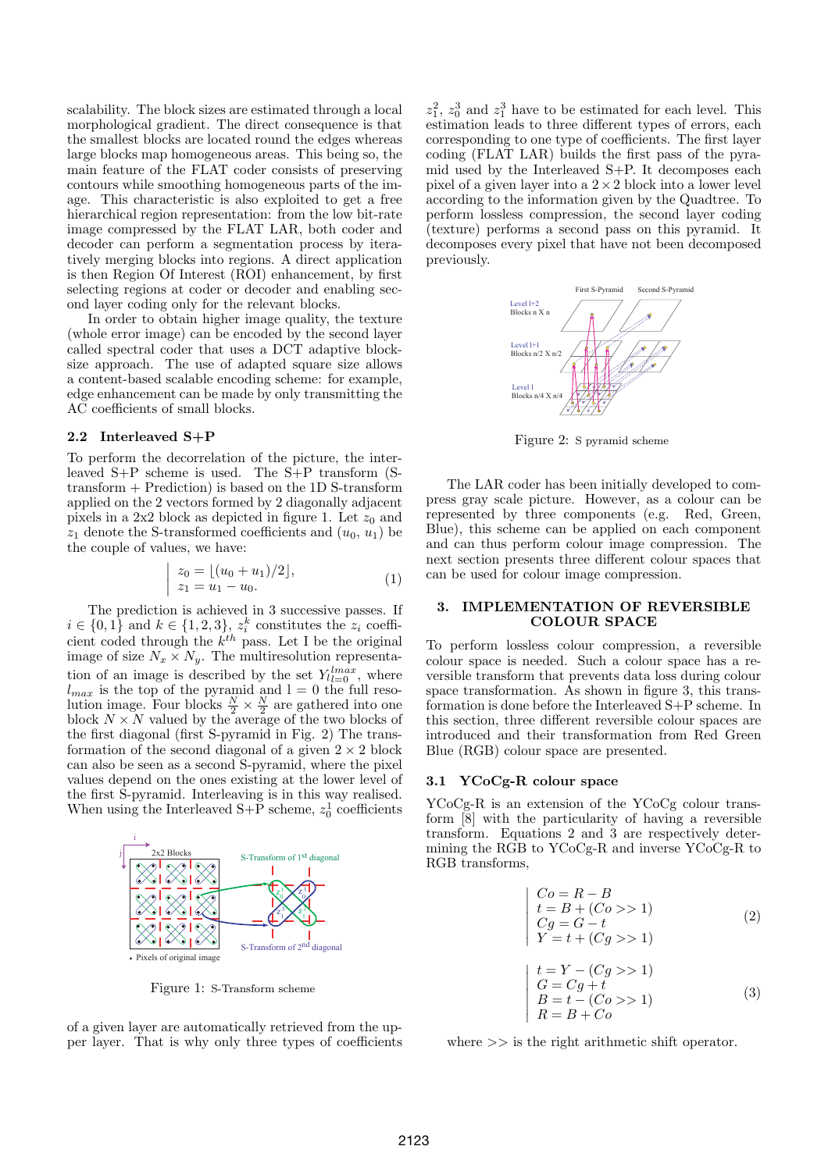scalability. The block sizes are estimated through a local morphological gradient. The direct consequence is that the smallest blocks are located round the edges whereas large blocks map homogeneous areas. This being so, the main feature of the FLAT coder consists of preserving contours while smoothing homogeneous parts of the image. This characteristic is also exploited to get a free hierarchical region representation: from the low bit-rate image compressed by the FLAT LAR, both coder and decoder can perform a segmentation process by iteratively merging blocks into regions. A direct application is then Region Of Interest (ROI) enhancement, by first selecting regions at coder or decoder and enabling second layer coding only for the relevant blocks.

In order to obtain higher image quality, the texture (whole error image) can be encoded by the second layer called spectral coder that uses a DCT adaptive blocksize approach. The use of adapted square size allows a content-based scalable encoding scheme: for example, edge enhancement can be made by only transmitting the AC coefficients of small blocks.

#### 2.2 Interleaved S+P

To perform the decorrelation of the picture, the interleaved S+P scheme is used. The S+P transform (S $transform + Prediction$  is based on the 1D S-transform applied on the 2 vectors formed by 2 diagonally adjacent pixels in a  $2x2$  block as depicted in figure 1. Let  $z_0$  and  $z_1$  denote the S-transformed coefficients and  $(u_0, u_1)$  be the couple of values, we have: ¯

$$
\begin{cases} z_0 = \lfloor (u_0 + u_1)/2 \rfloor, \\ z_1 = u_1 - u_0. \end{cases} (1)
$$

The prediction is achieved in 3 successive passes. If  $i \in \{0, 1\}$  and  $k \in \{1, 2, 3\}$ ,  $z_i^k$  constitutes the  $z_i$  coefficient coded through the  $k^{th}$  pass. Let I be the original image of size  $N_x \times N_y$ . The multiresolution representation of an image is described by the set  $Y_{l}=0}^{lmax}$ , where  $l_{max}$  is the top of the pyramid and  $l = 0$  the full resolution image. Four blocks  $\frac{N}{2} \times \frac{N}{2}$  are gathered into one block  $N \times N$  valued by the average of the two blocks of the first diagonal (first S-pyramid in Fig. 2) The transformation of the second diagonal of a given  $2 \times 2$  block can also be seen as a second S-pyramid, where the pixel values depend on the ones existing at the lower level of the first S-pyramid. Interleaving is in this way realised. When using the Interleaved  $S+\tilde{P}$  scheme,  $z_0^1$  coefficients



Figure 1: S-Transform scheme

of a given layer are automatically retrieved from the upper layer. That is why only three types of coefficients

 $z_1^2$ ,  $z_0^3$  and  $z_1^3$  have to be estimated for each level. This estimation leads to three different types of errors, each corresponding to one type of coefficients. The first layer coding (FLAT LAR) builds the first pass of the pyramid used by the Interleaved S+P. It decomposes each pixel of a given layer into a  $2\times 2$  block into a lower level according to the information given by the Quadtree. To perform lossless compression, the second layer coding (texture) performs a second pass on this pyramid. It decomposes every pixel that have not been decomposed previously.



Figure 2: S pyramid scheme

The LAR coder has been initially developed to compress gray scale picture. However, as a colour can be represented by three components (e.g. Red, Green, Blue), this scheme can be applied on each component and can thus perform colour image compression. The next section presents three different colour spaces that can be used for colour image compression.

# 3. IMPLEMENTATION OF REVERSIBLE COLOUR SPACE

To perform lossless colour compression, a reversible colour space is needed. Such a colour space has a reversible transform that prevents data loss during colour space transformation. As shown in figure 3, this transformation is done before the Interleaved S+P scheme. In this section, three different reversible colour spaces are introduced and their transformation from Red Green Blue (RGB) colour space are presented.

# 3.1 YCoCg-R colour space

YCoCg-R is an extension of the YCoCg colour transform [8] with the particularity of having a reversible transform. Equations 2 and 3 are respectively determining the RGB to YCoCg-R and inverse YCoCg-R to RGB transforms,

$$
\begin{cases}\nCo = R - B \\
t = B + (Co > 1) \\
Cg = G - t \\
Y = t + (Cg > 1)\n\end{cases} \tag{2}
$$

$$
\begin{cases}\n t = Y - (Cg >> 1) \\
 G = Cg + t \\
 B = t - (Co >> 1) \\
 R = B + Co\n\end{cases} \tag{3}
$$

where  $\gg$  is the right arithmetic shift operator.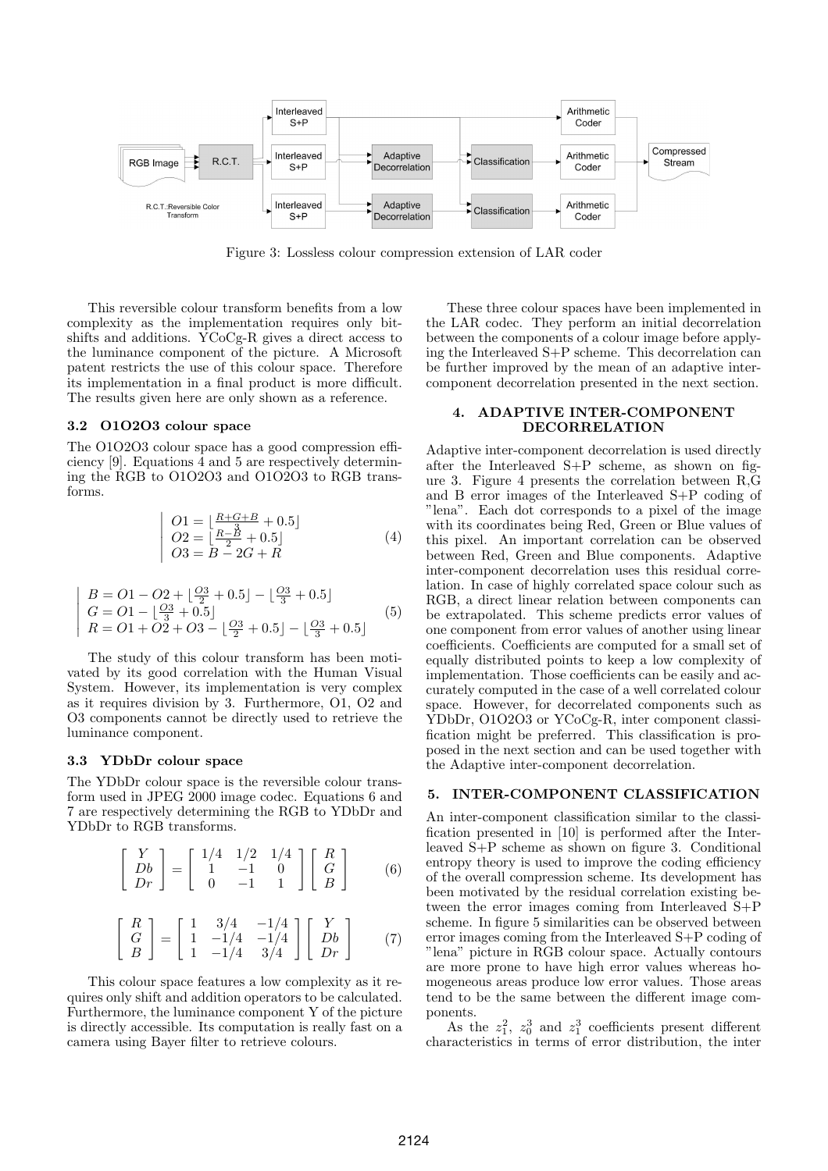

Figure 3: Lossless colour compression extension of LAR coder

This reversible colour transform benefits from a low complexity as the implementation requires only bitshifts and additions. YCoCg-R gives a direct access to the luminance component of the picture. A Microsoft patent restricts the use of this colour space. Therefore its implementation in a final product is more difficult. The results given here are only shown as a reference.

# 3.2 O1O2O3 colour space

The O1O2O3 colour space has a good compression efficiency [9]. Equations 4 and 5 are respectively determining the RGB to O1O2O3 and O1O2O3 to RGB transforms.

$$
\begin{cases}\nO1 = \left[\frac{R+G+B}{3} + 0.5\right] \\
O2 = \left[\frac{R-\cancel{B}}{2} + 0.5\right] \\
O3 = B - 2G + R\n\end{cases} (4)
$$

$$
\begin{vmatrix} B = O1 - O2 + \left[\frac{O3}{2} + 0.5\right] - \left[\frac{O3}{3} + 0.5\right] \\ G = O1 - \left[\frac{O3}{3} + 0.5\right] \\ R = O1 + O2 + O3 - \left[\frac{O3}{2} + 0.5\right] - \left[\frac{O3}{3} + 0.5\right] \end{vmatrix}
$$
 (5)

The study of this colour transform has been motivated by its good correlation with the Human Visual System. However, its implementation is very complex as it requires division by 3. Furthermore, O1, O2 and O3 components cannot be directly used to retrieve the luminance component.

### 3.3 YDbDr colour space

The YDbDr colour space is the reversible colour transform used in JPEG 2000 image codec. Equations 6 and 7 are respectively determining the RGB to YDbDr and YDbDr to RGB transforms.

$$
\begin{bmatrix} Y \\ Db \\ Dr \end{bmatrix} = \begin{bmatrix} 1/4 & 1/2 & 1/4 \\ 1 & -1 & 0 \\ 0 & -1 & 1 \end{bmatrix} \begin{bmatrix} R \\ G \\ B \end{bmatrix}
$$
 (6)

$$
\begin{bmatrix} R \\ G \\ B \end{bmatrix} = \begin{bmatrix} 1 & 3/4 & -1/4 \\ 1 & -1/4 & -1/4 \\ 1 & -1/4 & 3/4 \end{bmatrix} \begin{bmatrix} Y \\ Db \\ Dr \end{bmatrix}
$$
 (7)

This colour space features a low complexity as it requires only shift and addition operators to be calculated. Furthermore, the luminance component Y of the picture is directly accessible. Its computation is really fast on a camera using Bayer filter to retrieve colours.

These three colour spaces have been implemented in the LAR codec. They perform an initial decorrelation between the components of a colour image before applying the Interleaved S+P scheme. This decorrelation can be further improved by the mean of an adaptive intercomponent decorrelation presented in the next section.

# 4. ADAPTIVE INTER-COMPONENT DECORRELATION

Adaptive inter-component decorrelation is used directly after the Interleaved S+P scheme, as shown on figure 3. Figure 4 presents the correlation between R,G and B error images of the Interleaved S+P coding of "lena". Each dot corresponds to a pixel of the image with its coordinates being Red, Green or Blue values of this pixel. An important correlation can be observed between Red, Green and Blue components. Adaptive inter-component decorrelation uses this residual correlation. In case of highly correlated space colour such as RGB, a direct linear relation between components can be extrapolated. This scheme predicts error values of one component from error values of another using linear coefficients. Coefficients are computed for a small set of equally distributed points to keep a low complexity of implementation. Those coefficients can be easily and accurately computed in the case of a well correlated colour space. However, for decorrelated components such as YDbDr, O1O2O3 or YCoCg-R, inter component classification might be preferred. This classification is proposed in the next section and can be used together with the Adaptive inter-component decorrelation.

#### 5. INTER-COMPONENT CLASSIFICATION

An inter-component classification similar to the classification presented in [10] is performed after the Interleaved S+P scheme as shown on figure 3. Conditional entropy theory is used to improve the coding efficiency of the overall compression scheme. Its development has been motivated by the residual correlation existing between the error images coming from Interleaved S+P scheme. In figure 5 similarities can be observed between error images coming from the Interleaved S+P coding of "lena" picture in RGB colour space. Actually contours are more prone to have high error values whereas homogeneous areas produce low error values. Those areas tend to be the same between the different image components.

As the  $z_1^2$ ,  $z_0^3$  and  $z_1^3$  coefficients present different characteristics in terms of error distribution, the inter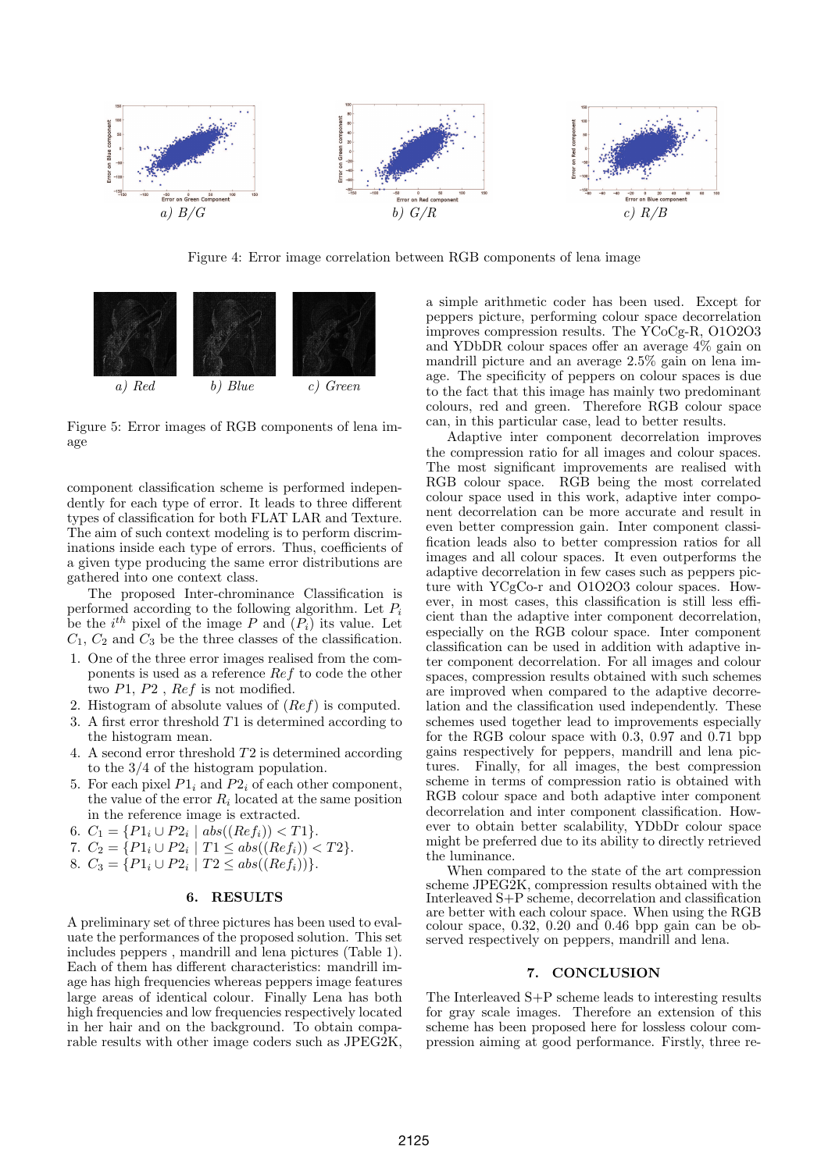

Figure 4: Error image correlation between RGB components of lena image



Figure 5: Error images of RGB components of lena image

component classification scheme is performed independently for each type of error. It leads to three different types of classification for both FLAT LAR and Texture. The aim of such context modeling is to perform discriminations inside each type of errors. Thus, coefficients of a given type producing the same error distributions are gathered into one context class.

The proposed Inter-chrominance Classification is performed according to the following algorithm. Let  $P_i$ be the  $i^{th}$  pixel of the image P and  $(P_i)$  its value. Let  $C_1, C_2$  and  $C_3$  be the three classes of the classification.

- 1. One of the three error images realised from the components is used as a reference Ref to code the other two  $P1, P2$ ,  $Ref$  is not modified.
- 2. Histogram of absolute values of (Ref) is computed.
- 3. A first error threshold T1 is determined according to the histogram mean.
- 4. A second error threshold T2 is determined according to the 3/4 of the histogram population.
- 5. For each pixel  $P1_i$  and  $P2_i$  of each other component, the value of the error  $R_i$  located at the same position in the reference image is extracted.
- 6.  $C_1 = \{P1_i \cup P2_i \mid abs((Ref_i)) < T1\}.$
- 7.  $C_2 = \{P1_i \cup P2_i \mid T1 \le abs((Ref_i)) < T2\}.$
- 8.  $C_3 = \{P1_i \cup P2_i \mid T2 \le abs((Ref_i))\}.$

### 6. RESULTS

A preliminary set of three pictures has been used to evaluate the performances of the proposed solution. This set includes peppers , mandrill and lena pictures (Table 1). Each of them has different characteristics: mandrill image has high frequencies whereas peppers image features large areas of identical colour. Finally Lena has both high frequencies and low frequencies respectively located in her hair and on the background. To obtain comparable results with other image coders such as JPEG2K,

a simple arithmetic coder has been used. Except for peppers picture, performing colour space decorrelation improves compression results. The YCoCg-R, O1O2O3 and YDbDR colour spaces offer an average 4% gain on mandrill picture and an average 2.5% gain on lena image. The specificity of peppers on colour spaces is due to the fact that this image has mainly two predominant colours, red and green. Therefore RGB colour space can, in this particular case, lead to better results.

Adaptive inter component decorrelation improves the compression ratio for all images and colour spaces. The most significant improvements are realised with RGB colour space. RGB being the most correlated colour space used in this work, adaptive inter component decorrelation can be more accurate and result in even better compression gain. Inter component classification leads also to better compression ratios for all images and all colour spaces. It even outperforms the adaptive decorrelation in few cases such as peppers picture with YCgCo-r and O1O2O3 colour spaces. However, in most cases, this classification is still less efficient than the adaptive inter component decorrelation, especially on the RGB colour space. Inter component classification can be used in addition with adaptive inter component decorrelation. For all images and colour spaces, compression results obtained with such schemes are improved when compared to the adaptive decorrelation and the classification used independently. These schemes used together lead to improvements especially for the RGB colour space with 0.3, 0.97 and 0.71 bpp gains respectively for peppers, mandrill and lena pictures. Finally, for all images, the best compression scheme in terms of compression ratio is obtained with RGB colour space and both adaptive inter component decorrelation and inter component classification. However to obtain better scalability, YDbDr colour space might be preferred due to its ability to directly retrieved the luminance.

When compared to the state of the art compression scheme JPEG2K, compression results obtained with the Interleaved S+P scheme, decorrelation and classification are better with each colour space. When using the RGB colour space,  $0.32$ ,  $0.20$  and  $0.46$  bpp gain can be observed respectively on peppers, mandrill and lena.

### 7. CONCLUSION

The Interleaved S+P scheme leads to interesting results for gray scale images. Therefore an extension of this scheme has been proposed here for lossless colour compression aiming at good performance. Firstly, three re-